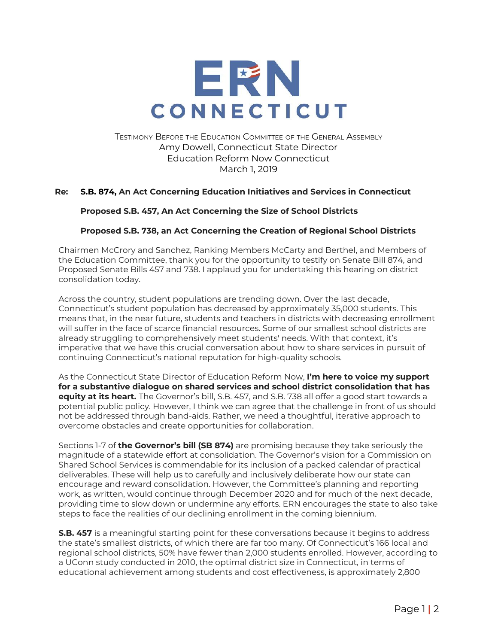

TESTIMONY BEFORE THE EDUCATION COMMITTEE OF THE GENERAL ASSEMBLY Amy Dowell, Connecticut State Director Education Reform Now Connecticut March 1, 2019

## **Re: S.B. 874, An Act Concerning Education Initiatives and Services in Connecticut**

## **Proposed S.B. 457, An Act Concerning the Size of School Districts**

## **Proposed S.B. 738, an Act Concerning the Creation of Regional School Districts**

Chairmen McCrory and Sanchez, Ranking Members McCarty and Berthel, and Members of the Education Committee, thank you for the opportunity to testify on Senate Bill 874, and Proposed Senate Bills 457 and 738. I applaud you for undertaking this hearing on district consolidation today.

Across the country, student populations are trending down. Over the last decade, Connecticut's student population has decreased by approximately 35,000 students. This means that, in the near future, students and teachers in districts with decreasing enrollment will suffer in the face of scarce financial resources. Some of our smallest school districts are already struggling to comprehensively meet students' needs. With that context, it's imperative that we have this crucial conversation about how to share services in pursuit of continuing Connecticut's national reputation for high-quality schools.

As the Connecticut State Director of Education Reform Now, **I'm here to voice my support for a substantive dialogue on shared services and school district consolidation that has equity at its heart.** The Governor's bill, S.B. 457, and S.B. 738 all offer a good start towards a potential public policy. However, I think we can agree that the challenge in front of us should not be addressed through band-aids. Rather, we need a thoughtful, iterative approach to overcome obstacles and create opportunities for collaboration.

Sections 1-7 of **the Governor's bill (SB 874)** are promising because they take seriously the magnitude of a statewide effort at consolidation. The Governor's vision for a Commission on Shared School Services is commendable for its inclusion of a packed calendar of practical deliverables. These will help us to carefully and inclusively deliberate how our state can encourage and reward consolidation. However, the Committee's planning and reporting work, as written, would continue through December 2020 and for much of the next decade, providing time to slow down or undermine any efforts. ERN encourages the state to also take steps to face the realities of our declining enrollment in the coming biennium.

**S.B. 457** is a meaningful starting point for these conversations because it begins to address the state's smallest districts, of which there are far too many. Of Connecticut's 166 local and regional school districts, 50% have fewer than 2,000 students enrolled. However, according to a UConn study conducted in 2010, the optimal district size in Connecticut, in terms of educational achievement among students and cost effectiveness, is approximately 2,800